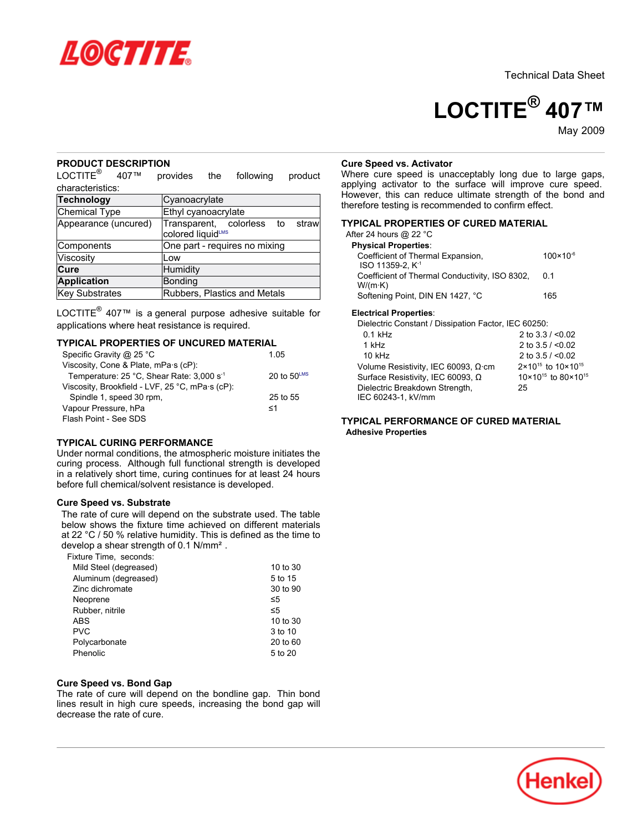

Technical Data Sheet

# **LOCTITE® 407™**

May-2009

## **PRODUCT DESCRIPTION**

LOCTITE<sup>®</sup> 407™ provides the following product characteristics:

| Technology           | Cyanoacrylate                                            |  |  |  |
|----------------------|----------------------------------------------------------|--|--|--|
| Chemical Type        | Ethyl cyanoacrylate                                      |  |  |  |
| Appearance (uncured) | Transparent, colorless to<br>strawl<br>colored liquidLMS |  |  |  |
| Components           | One part - requires no mixing                            |  |  |  |
| Viscosity            | Low                                                      |  |  |  |
| Cure                 | Humidity                                                 |  |  |  |
| <b>Application</b>   | Bonding                                                  |  |  |  |
| Key Substrates       | Rubbers, Plastics and Metals                             |  |  |  |

LOCTITE<sup>®</sup> 407™ is a general purpose adhesive suitable for applications where heat resistance is required.

#### **TYPICAL PROPERTIES OF UNCURED MATERIAL**

| Specific Gravity @ 25 °C                        | 1 05          |
|-------------------------------------------------|---------------|
| Viscosity, Cone & Plate, mPa·s (cP):            |               |
| Temperature: 25 °C, Shear Rate: 3,000 s-1       | 20 to $50LMS$ |
| Viscosity, Brookfield - LVF, 25 °C, mPa·s (cP): |               |
| Spindle 1, speed 30 rpm,                        | 25 to 55      |
| Vapour Pressure, hPa                            | ≤1            |
| Flash Point - See SDS                           |               |

# **TYPICAL CURING PERFORMANCE**

Under normal conditions, the atmospheric moisture initiates the curing process. Although full functional strength is developed in a relatively short time, curing continues for at least 24 hours before full chemical/solvent resistance is developed.

### **Cure Speed vs. Substrate**

The rate of cure will depend on the substrate used. The table below shows the fixture time achieved on different materials at 22 °C / 50 % relative humidity. This is defined as the time to develop a shear strength of 0.1 N/mm².

Fixture Time, seconds:

| Mild Steel (degreased) | 10 to 30 |
|------------------------|----------|
| Aluminum (degreased)   | 5 to 15  |
| Zinc dichromate        | 30 to 90 |
| Neoprene               | ≤5       |
| Rubber, nitrile        | ≤5       |
| <b>ABS</b>             | 10 to 30 |
| <b>PVC</b>             | 3 to 10  |
| Polycarbonate          | 20 to 60 |
| Phenolic               | 5 to 20  |

#### **Cure Speed vs. Bond Gap**

The rate of cure will depend on the bondline gap. Thin bond lines result in high cure speeds, increasing the bond gap will decrease the rate of cure.

#### **Cure Speed vs. Activator**

Where cure speed is unacceptably long due to large gaps, applying activator to the surface will improve cure speed. However, this can reduce ultimate strength of the bond and therefore testing is recommended to confirm effect.

## **TYPICAL PROPERTIES OF CURED MATERIAL**

| After 24 hours @ 22 °C                                            |                      |
|-------------------------------------------------------------------|----------------------|
| <b>Physical Properties:</b>                                       |                      |
| Coefficient of Thermal Expansion,<br>ISO 11359-2. K <sup>-1</sup> | $100 \times 10^{-6}$ |
| Coefficient of Thermal Conductivity, ISO 8302,<br>W/(m·K)         | 0 1                  |
| Softening Point, DIN EN 1427, °C                                  | 165                  |

#### **Electrical Properties**:

| Dielectric Constant / Dissipation Factor, IEC 60250: |                                            |
|------------------------------------------------------|--------------------------------------------|
| $0.1$ kHz                                            | 2 to $3.3 / 0.02$                          |
| 1 kHz                                                | 2 to $3.5 / < 0.02$                        |
| $10$ kHz                                             | 2 to $3.5 / < 0.02$                        |
| Volume Resistivity, IEC 60093, $\Omega$ cm           | 2×10 <sup>15</sup> to 10×10 <sup>15</sup>  |
| Surface Resistivity, IEC 60093, Ω                    | 10×10 <sup>15</sup> to 80×10 <sup>15</sup> |
| Dielectric Breakdown Strength,<br>IEC 60243-1, kV/mm | 25                                         |

## **TYPICAL PERFORMANCE OF CURED MATERIAL Adhesive Properties**

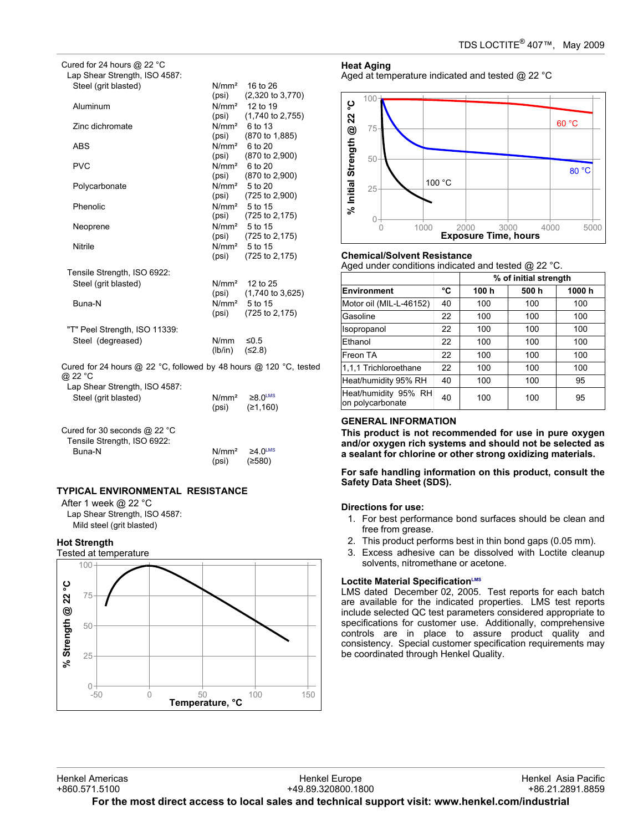| Cured for 24 hours @ 22 °C    |         |                                     |
|-------------------------------|---------|-------------------------------------|
| Lap Shear Strength, ISO 4587: |         |                                     |
| Steel (grit blasted)          |         | $N/mm2$ 16 to 26                    |
|                               | (psi)   | $(2,320 \text{ to } 3,770)$         |
| Aluminum                      |         | $N/mm2$ 12 to 19                    |
|                               | (psi)   | $(1,740 \text{ to } 2,755)$         |
| Zinc dichromate               |         | $N/mm2$ 6 to 13                     |
|                               | (psi)   | $(870 \text{ to } 1,885)$           |
| ABS                           |         | $N/mm^2$ 6 to 20                    |
|                               |         | (psi) (870 to 2,900)                |
| <b>PVC</b>                    |         | $N/mm^2$ 6 to 20                    |
|                               | (psi)   | $(870 \text{ to } 2,900)$           |
| Polycarbonate                 |         | N/mm <sup>2</sup> 5 to 20           |
|                               |         | $(psi)$ $(725 to 2,900)$            |
| Phenolic                      |         | N/mm <sup>2</sup> 5 to 15           |
|                               | (psi)   | (725 to 2,175)                      |
| Neoprene                      |         | N/mm <sup>2</sup> 5 to 15           |
|                               |         | $(psi)$ $(725 to 2, 175)$           |
| Nitrile                       |         | $N/mm2$ 5 to 15                     |
|                               | (psi)   | $(725 \text{ to } 2, 175)$          |
|                               |         |                                     |
| Tensile Strength, ISO 6922:   |         |                                     |
| Steel (grit blasted)          |         | $N/mm2$ 12 to 25                    |
|                               |         | $(psi)$ $(1,740 \text{ to } 3,625)$ |
| Buna-N                        |         | N/mm <sup>2</sup> 5 to 15           |
|                               | (psi)   | (725 to 2,175)                      |
|                               |         |                                     |
| "T" Peel Strength, ISO 11339: |         |                                     |
| Steel (degreased)             | N/mm    | $\leq 0.5$                          |
|                               | (lb/in) | (52.8)                              |
| $\mathbf{r}$ and $\mathbf{r}$ |         |                                     |

Cured for 24 hours @ 22 °C, followed by 48 hours @ 120 °C, tested @ 22 °C

| Lap Shear Strength, ISO 4587:                                           | N/mm <sup>2</sup>          | $\geq 8.0$ <sup>LMS</sup>         |  |
|-------------------------------------------------------------------------|----------------------------|-----------------------------------|--|
| Steel (grit blasted)                                                    | (psi)                      | (≥1,160)                          |  |
| Cured for 30 seconds $@$ 22 °C<br>Tensile Strength, ISO 6922:<br>Buna-N | N/mm <sup>2</sup><br>(psi) | $\geq 4.0^{\text{LMS}}$<br>(≥580) |  |

# **TYPICAL ENVIRONMENTAL RESISTANCE**

After 1 week @ 22 °C Lap Shear Strength, ISO 4587: Mild steel (grit blasted)

**Hot Strength**



# **Heat Aging**

Aged at temperature indicated and tested @ 22 °C



## **Chemical/Solvent Resistance**

Aged under conditions indicated and tested @ 22 °C.

|                                          |    | % of initial strength |      |       |
|------------------------------------------|----|-----------------------|------|-------|
| Environment                              | °C | 100 h                 | 500h | 1000h |
| Motor oil (MIL-L-46152)                  | 40 | 100                   | 100  | 100   |
| Gasoline                                 | 22 | 100                   | 100  | 100   |
| Isopropanol                              | 22 | 100                   | 100  | 100   |
| Ethanol                                  | 22 | 100                   | 100  | 100   |
| Freon TA                                 | 22 | 100                   | 100  | 100   |
| 1,1,1 Trichloroethane                    | 22 | 100                   | 100  | 100   |
| Heat/humidity 95% RH                     | 40 | 100                   | 100  | 95    |
| Heat/humidity 95% RH<br>on polycarbonate | 40 | 100                   | 100  | 95    |

# **GENERAL INFORMATION**

**This product is not recommended for use in pure oxygen and/or oxygen rich systems and should not be selected as a sealant for chlorine or other strong oxidizing materials.**

**For safe handling information on this product, consult the Safety Data Sheet (SDS).**

## **Directions for use:**

- 1. For best performance bond surfaces should be clean and free from grease.
- 2. This product performs best in thin bond gaps (0.05 mm).
- 3. Excess adhesive can be dissolved with Loctite cleanup solvents, nitromethane or acetone.

# **Loctite Material SpecificationLMS**

LMS dated December 02, 2005. Test reports for each batch are available for the indicated properties. LMS test reports include selected QC test parameters considered appropriate to specifications for customer use. Additionally, comprehensive controls are in place to assure product quality and consistency. Special customer specification requirements may be coordinated through Henkel Quality.